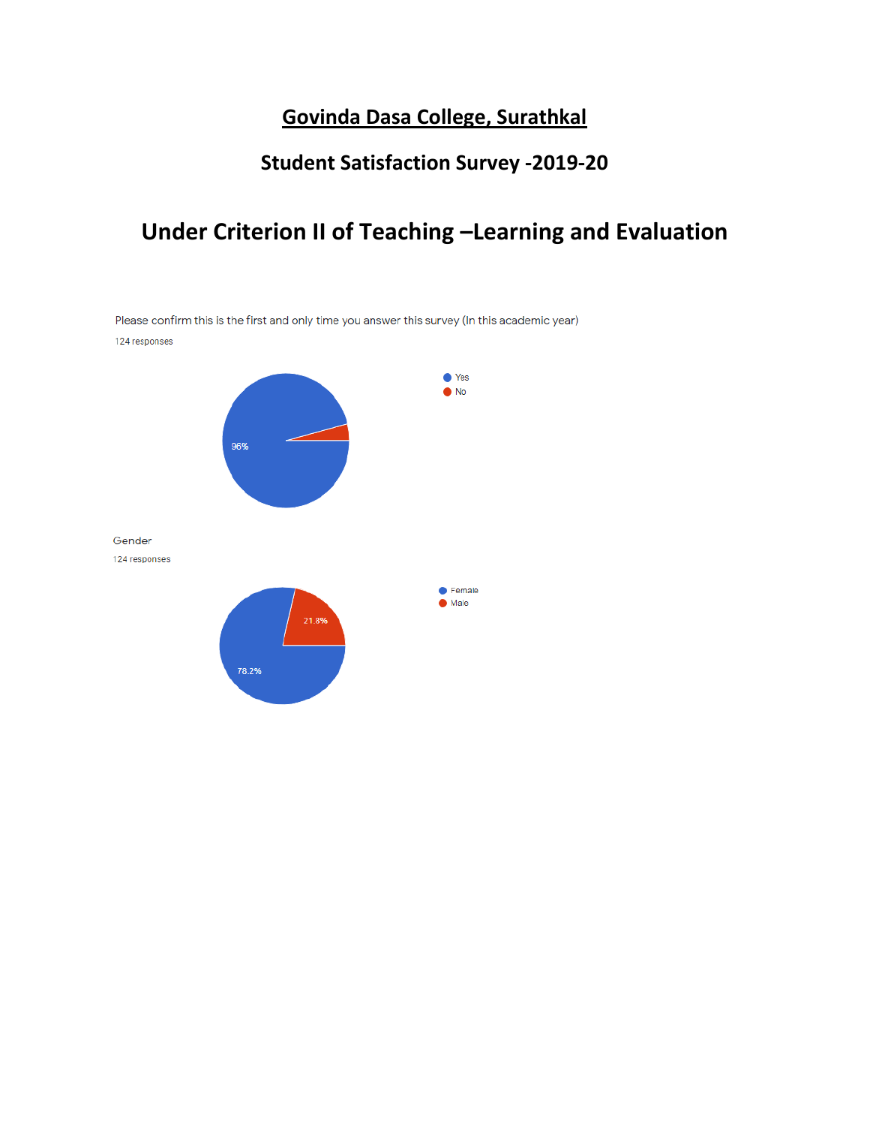### **Govinda Dasa College, Surathkal**

## **Student Satisfaction Survey -2019-20**

# **Under Criterion II of Teaching –Learning and Evaluation**

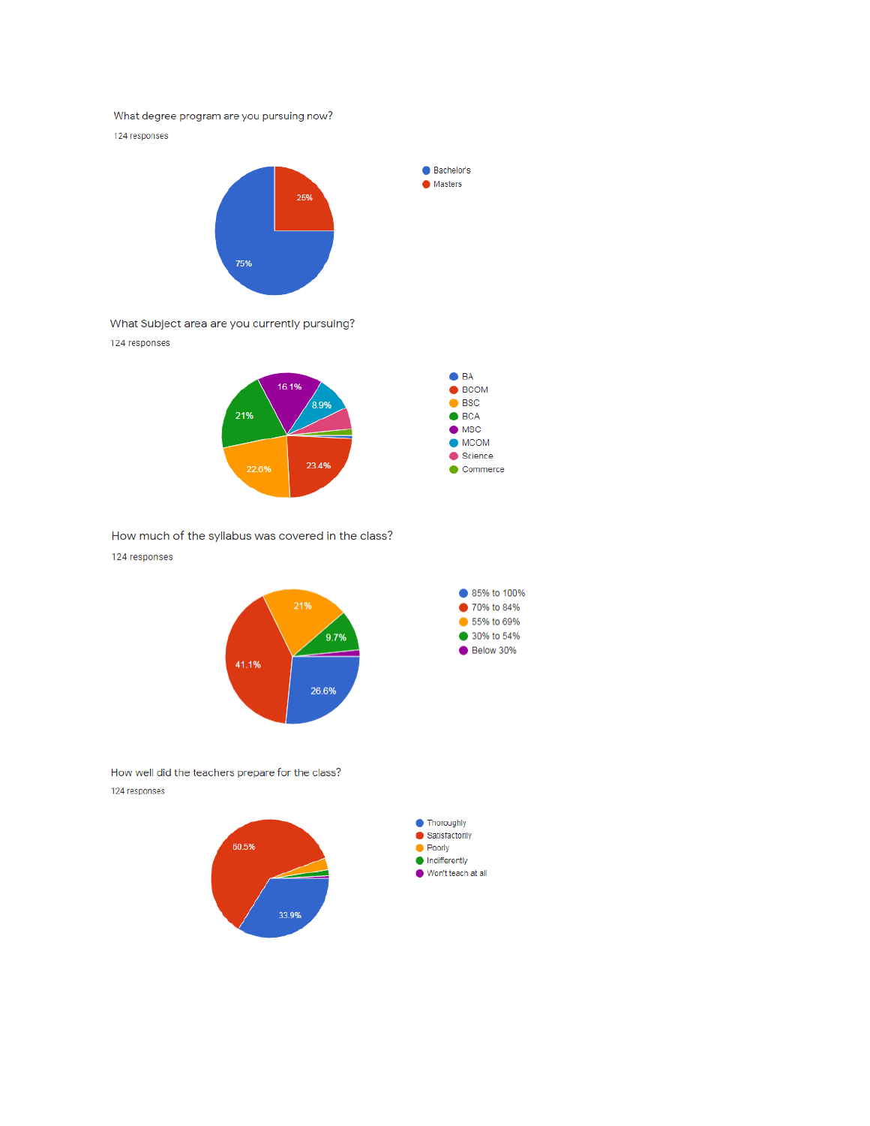### What degree program are you pursuing now?

124 responses



What Subject area are you currently pursuing?

124 responses



Bachelor's **Masters** 

How much of the syllabus was covered in the class? 124 responses



How well did the teachers prepare for the class? 124 responses



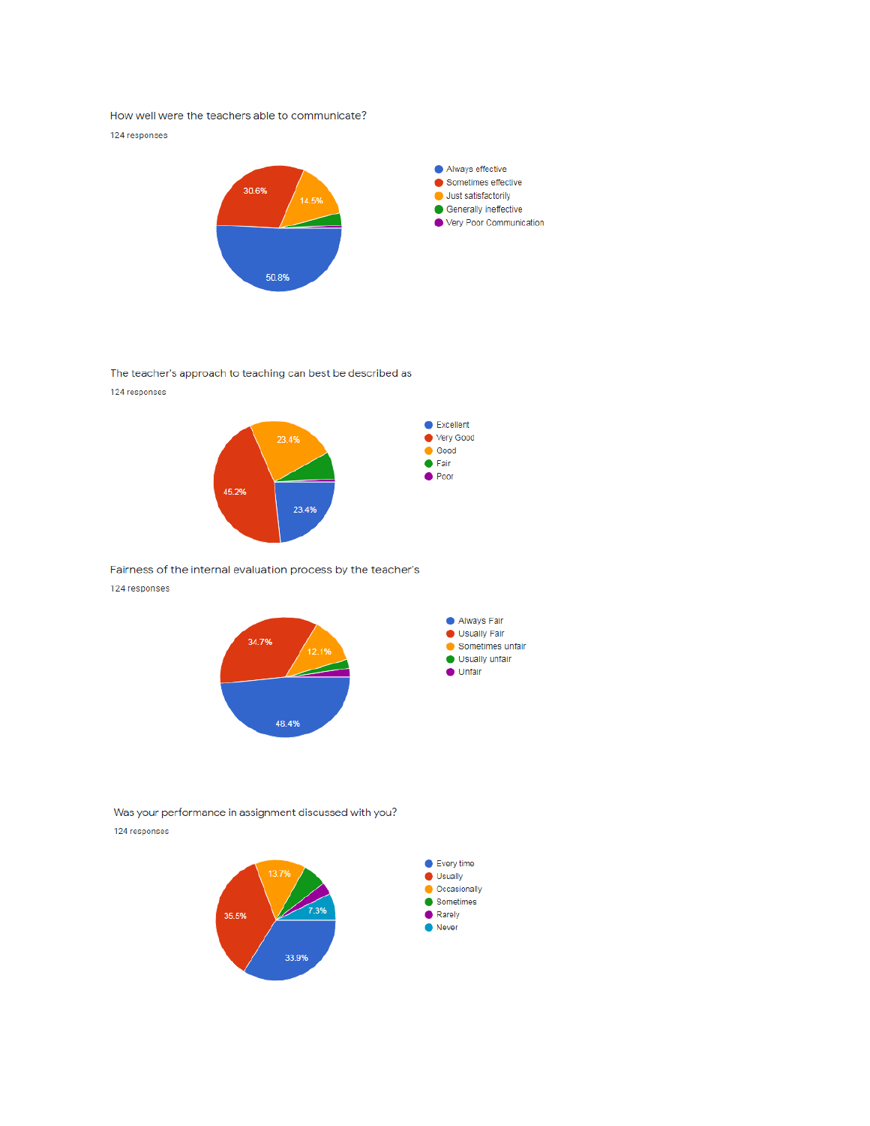How well were the teachers able to communicate?

124 responses



The teacher's approach to teaching can best be described as 124 responses



23.4%

Fairness of the internal evaluation process by the teacher's 124 responses

45.2%



Was your performance in assignment discussed with you? 124 responses

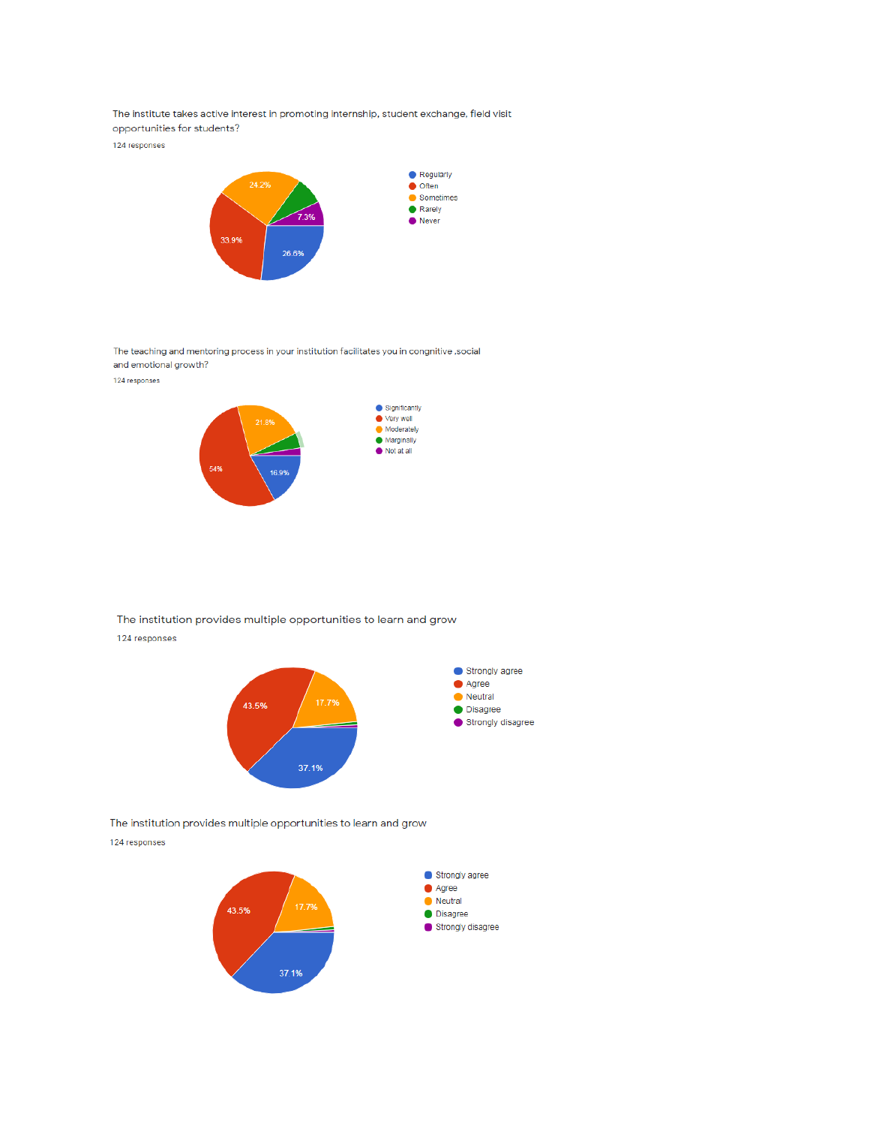The institute takes active interest in promoting internship, student exchange, field visit opportunities for students?

124 responses



The teaching and mentoring process in your institution facilitates you in congnitive, social and emotional growth?

124 responses



The institution provides multiple opportunities to learn and grow 124 responses



The institution provides multiple opportunities to learn and grow 124 responses

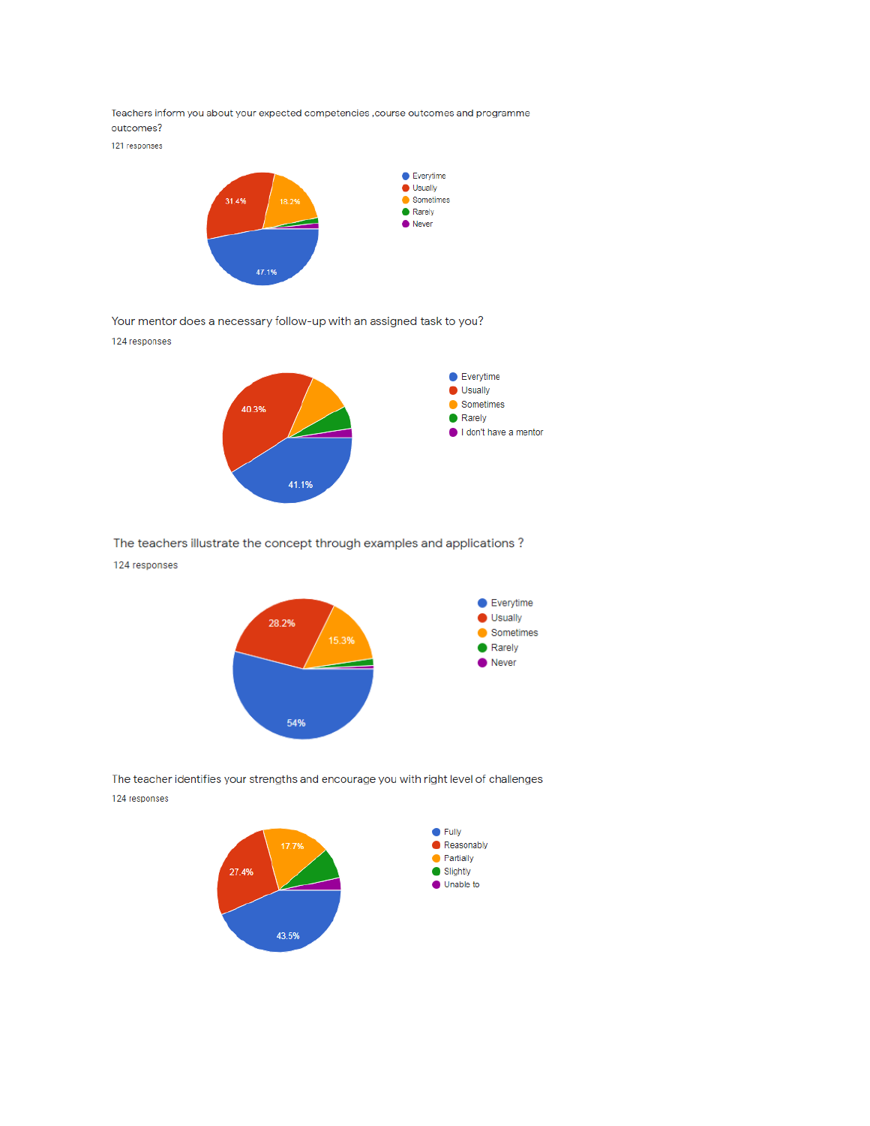Teachers inform you about your expected competencies , course outcomes and programme outcomes?

121 responses



Your mentor does a necessary follow-up with an assigned task to you?

124 responses



The teachers illustrate the concept through examples and applications?

#### 124 responses



The teacher identifies your strengths and encourage you with right level of challenges 124 responses

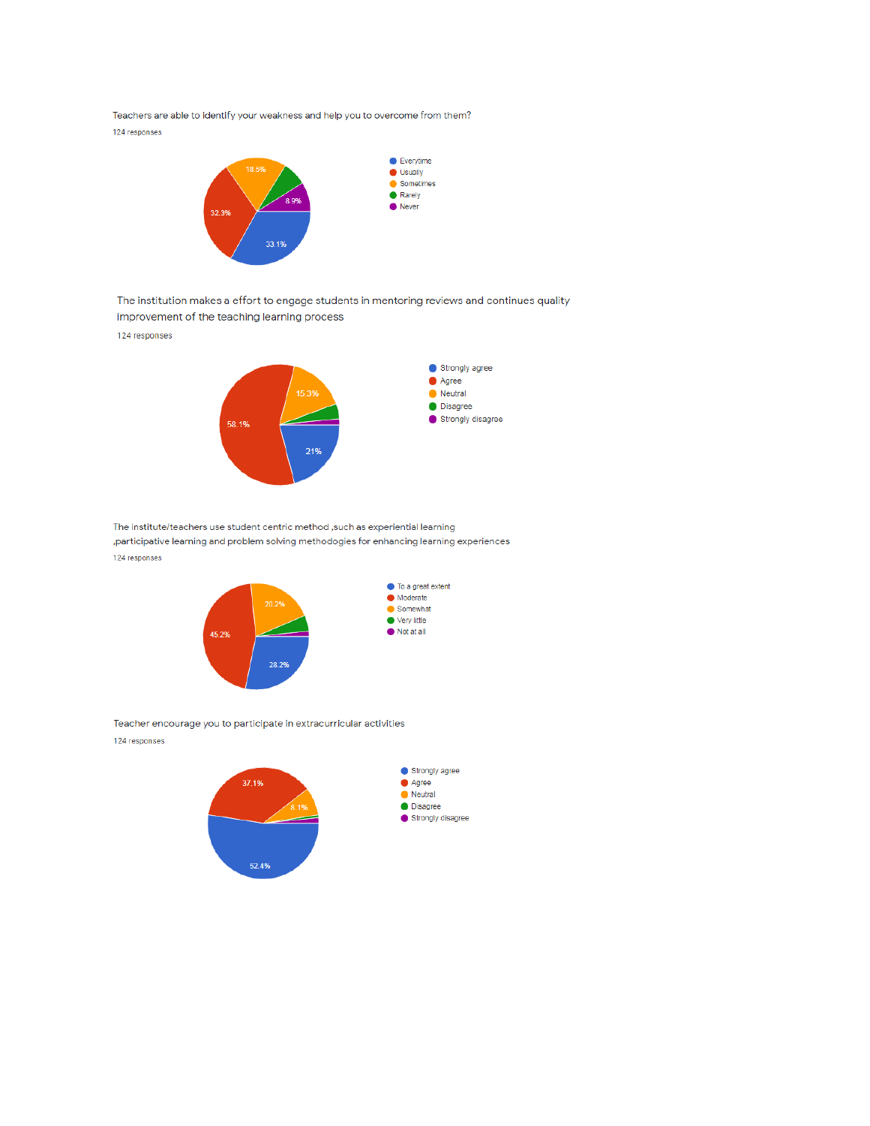Teachers are able to identify your weakness and help you to overcome from them? 124 responses



The institution makes a effort to engage students in mentoring reviews and continues quality improvement of the teaching learning process

124 responses



The institute/teachers use student centric method , such as experiential learning ,participative learning and problem solving methodogies for enhancing learning experiences 124 responses



Teacher encourage you to participate in extracurricular activities 124 responses

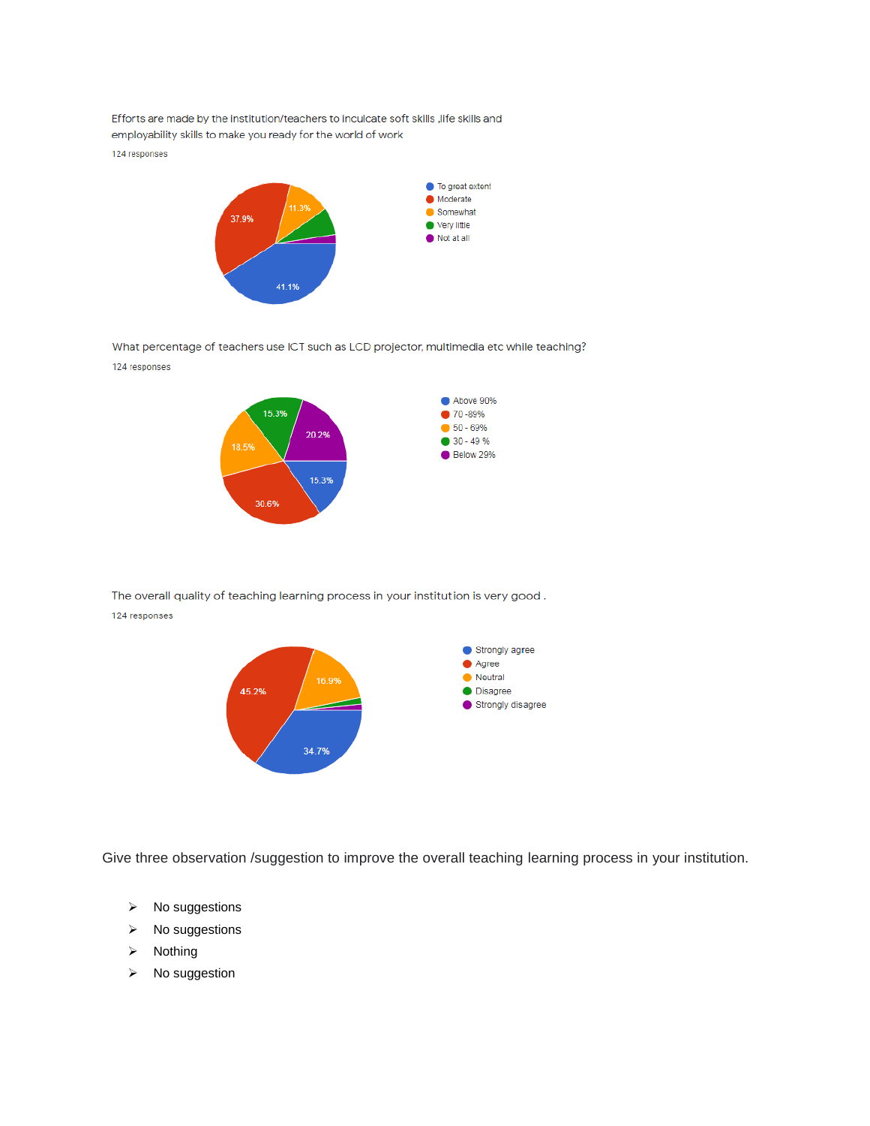Efforts are made by the institution/teachers to inculcate soft skills , life skills and employability skills to make you ready for the world of work

124 responses



What percentage of teachers use ICT such as LCD projector, multimedia etc while teaching? 124 responses



The overall quality of teaching learning process in your institution is very good. 124 responses



Give three observation /suggestion to improve the overall teaching learning process in your institution.

- $\triangleright$  No suggestions
- $\triangleright$  No suggestions
- $\triangleright$  Nothing
- $\triangleright$  No suggestion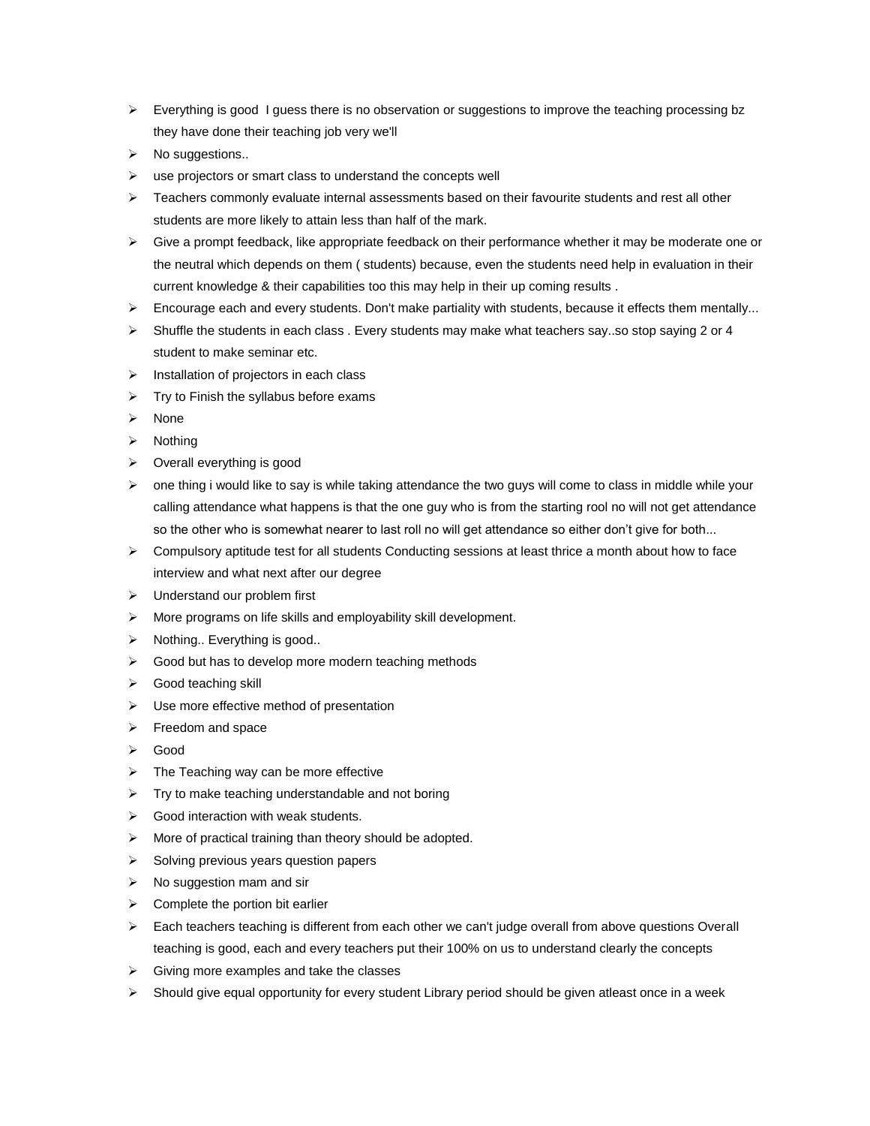- $\triangleright$  Everything is good I guess there is no observation or suggestions to improve the teaching processing bz they have done their teaching job very we'll
- $\triangleright$  No suggestions..
- $\triangleright$  use projectors or smart class to understand the concepts well
- $\triangleright$  Teachers commonly evaluate internal assessments based on their favourite students and rest all other students are more likely to attain less than half of the mark.
- $\triangleright$  Give a prompt feedback, like appropriate feedback on their performance whether it may be moderate one or the neutral which depends on them ( students) because, even the students need help in evaluation in their current knowledge & their capabilities too this may help in their up coming results .
- $\triangleright$  Encourage each and every students. Don't make partiality with students, because it effects them mentally...
- $\triangleright$  Shuffle the students in each class . Every students may make what teachers say..so stop saying 2 or 4 student to make seminar etc.
- $\triangleright$  Installation of projectors in each class
- $\triangleright$  Try to Finish the syllabus before exams
- $\triangleright$  None
- $\triangleright$  Nothing
- $\triangleright$  Overall everything is good
- $\triangleright$  one thing i would like to say is while taking attendance the two guys will come to class in middle while your calling attendance what happens is that the one guy who is from the starting rool no will not get attendance so the other who is somewhat nearer to last roll no will get attendance so either don't give for both...
- $\triangleright$  Compulsory aptitude test for all students Conducting sessions at least thrice a month about how to face interview and what next after our degree
- $\triangleright$  Understand our problem first
- More programs on life skills and employability skill development.
- $\triangleright$  Nothing.. Everything is good..
- $\triangleright$  Good but has to develop more modern teaching methods
- Good teaching skill
- $\triangleright$  Use more effective method of presentation
- $\triangleright$  Freedom and space
- Good
- $\triangleright$  The Teaching way can be more effective
- $\triangleright$  Try to make teaching understandable and not boring
- $\triangleright$  Good interaction with weak students.
- $\triangleright$  More of practical training than theory should be adopted.
- $\triangleright$  Solving previous years question papers
- $\triangleright$  No suggestion mam and sir
- $\triangleright$  Complete the portion bit earlier
- $\triangleright$  Each teachers teaching is different from each other we can't judge overall from above questions Overall teaching is good, each and every teachers put their 100% on us to understand clearly the concepts
- $\triangleright$  Giving more examples and take the classes
- $\triangleright$  Should give equal opportunity for every student Library period should be given atleast once in a week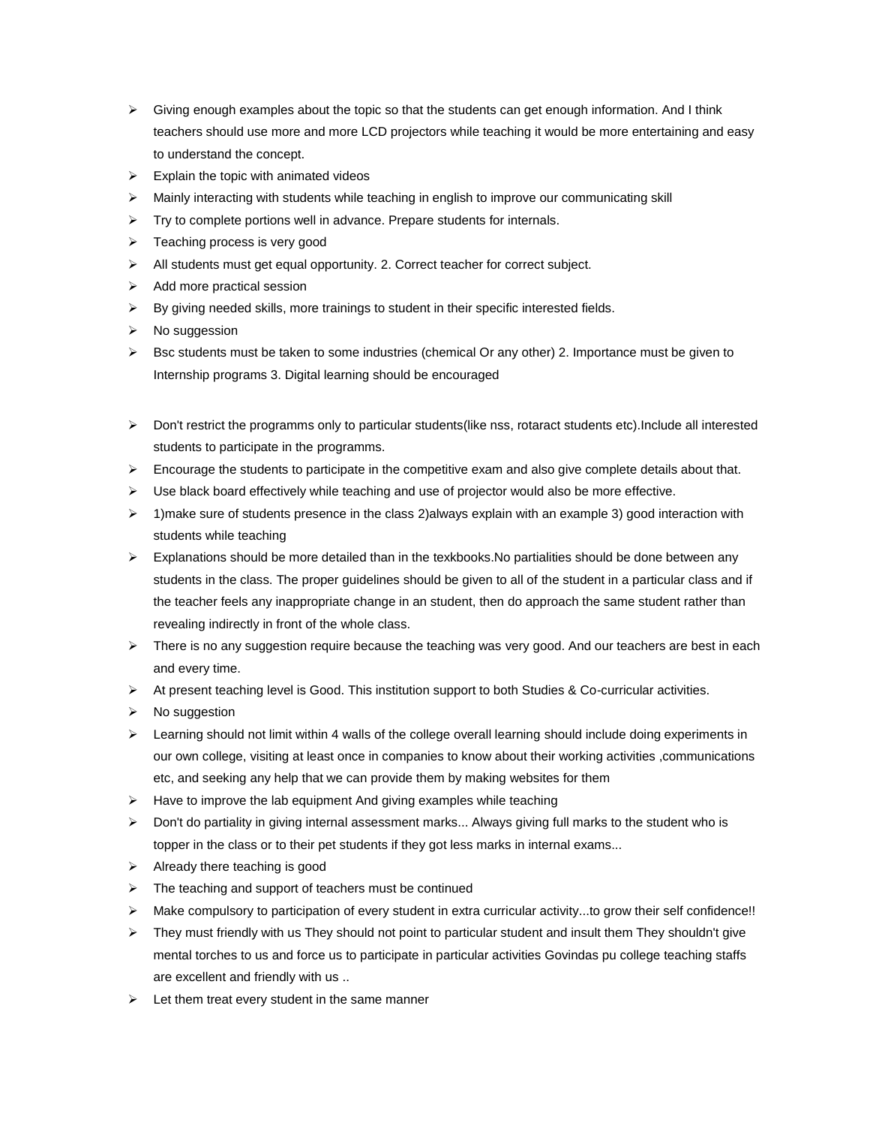- $\triangleright$  Giving enough examples about the topic so that the students can get enough information. And I think teachers should use more and more LCD projectors while teaching it would be more entertaining and easy to understand the concept.
- $\triangleright$  Explain the topic with animated videos
- $\triangleright$  Mainly interacting with students while teaching in english to improve our communicating skill
- $\triangleright$  Try to complete portions well in advance. Prepare students for internals.
- $\triangleright$  Teaching process is very good
- All students must get equal opportunity. 2. Correct teacher for correct subject.
- $\triangleright$  Add more practical session
- $\triangleright$  By giving needed skills, more trainings to student in their specific interested fields.
- $\triangleright$  No suggession
- $\triangleright$  Bsc students must be taken to some industries (chemical Or any other) 2. Importance must be given to Internship programs 3. Digital learning should be encouraged
- $\triangleright$  Don't restrict the programms only to particular students(like nss, rotaract students etc). Include all interested students to participate in the programms.
- $\triangleright$  Encourage the students to participate in the competitive exam and also give complete details about that.
- $\triangleright$  Use black board effectively while teaching and use of projector would also be more effective.
- $\triangleright$  1)make sure of students presence in the class 2)always explain with an example 3) good interaction with students while teaching
- $\triangleright$  Explanations should be more detailed than in the texkbooks. No partialities should be done between any students in the class. The proper guidelines should be given to all of the student in a particular class and if the teacher feels any inappropriate change in an student, then do approach the same student rather than revealing indirectly in front of the whole class.
- $\triangleright$  There is no any suggestion require because the teaching was very good. And our teachers are best in each and every time.
- $\triangleright$  At present teaching level is Good. This institution support to both Studies & Co-curricular activities.
- $\triangleright$  No suggestion
- $\triangleright$  Learning should not limit within 4 walls of the college overall learning should include doing experiments in our own college, visiting at least once in companies to know about their working activities ,communications etc, and seeking any help that we can provide them by making websites for them
- $\triangleright$  Have to improve the lab equipment And giving examples while teaching
- $\triangleright$  Don't do partiality in giving internal assessment marks... Always giving full marks to the student who is topper in the class or to their pet students if they got less marks in internal exams...
- $\triangleright$  Already there teaching is good
- $\triangleright$  The teaching and support of teachers must be continued
- $\triangleright$  Make compulsory to participation of every student in extra curricular activity...to grow their self confidence!!
- $\triangleright$  They must friendly with us They should not point to particular student and insult them They shouldn't give mental torches to us and force us to participate in particular activities Govindas pu college teaching staffs are excellent and friendly with us ..
- $\triangleright$  Let them treat every student in the same manner